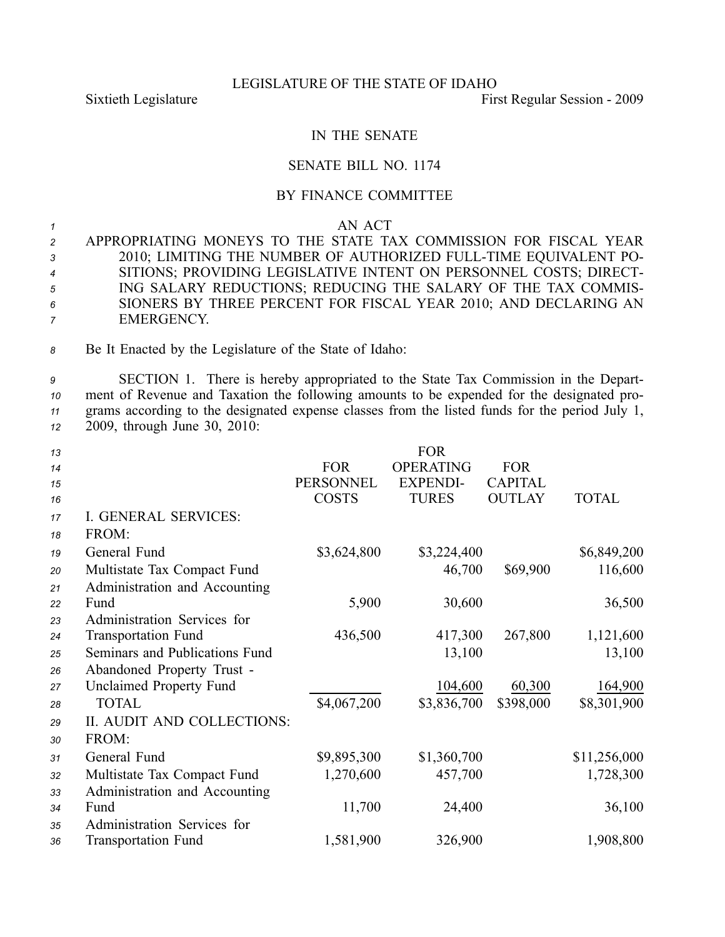### LEGISLATURE OF THE STATE OF IDAHO

Sixtieth Legislature First Regular Session - 2009

# IN THE SENATE

## SENATE BILL NO. 1174

# BY FINANCE COMMITTEE

#### *1* AN ACT

 APPROPRIATING MONEYS TO THE STATE TAX COMMISSION FOR FISCAL YEAR 2010; LIMITING THE NUMBER OF AUTHORIZED FULLTIME EQUIVALENT PO- SITIONS; PROVIDING LEGISLATIVE INTENT ON PERSONNEL COSTS; DIRECT- ING SALARY REDUCTIONS; REDUCING THE SALARY OF THE TAX COMMIS- SIONERS BY THREE PERCENT FOR FISCAL YEAR 2010; AND DECLARING AN EMERGENCY.

*<sup>8</sup>* Be It Enacted by the Legislature of the State of Idaho:

 SECTION 1. There is hereby appropriated to the State Tax Commission in the Depart- ment of Revenue and Taxation the following amounts to be expended for the designated pro- grams according to the designated expense classes from the listed funds for the period July 1, 2009, through June 30, 2010:

| 13 |                                |                  | <b>FOR</b>       |                |              |
|----|--------------------------------|------------------|------------------|----------------|--------------|
| 14 |                                | <b>FOR</b>       | <b>OPERATING</b> | <b>FOR</b>     |              |
| 15 |                                | <b>PERSONNEL</b> | <b>EXPENDI-</b>  | <b>CAPITAL</b> |              |
| 16 |                                | <b>COSTS</b>     | <b>TURES</b>     | <b>OUTLAY</b>  | <b>TOTAL</b> |
| 17 | I. GENERAL SERVICES:           |                  |                  |                |              |
| 18 | FROM:                          |                  |                  |                |              |
| 19 | General Fund                   | \$3,624,800      | \$3,224,400      |                | \$6,849,200  |
| 20 | Multistate Tax Compact Fund    |                  | 46,700           | \$69,900       | 116,600      |
| 21 | Administration and Accounting  |                  |                  |                |              |
| 22 | Fund                           | 5,900            | 30,600           |                | 36,500       |
| 23 | Administration Services for    |                  |                  |                |              |
| 24 | <b>Transportation Fund</b>     | 436,500          | 417,300          | 267,800        | 1,121,600    |
| 25 | Seminars and Publications Fund |                  | 13,100           |                | 13,100       |
| 26 | Abandoned Property Trust -     |                  |                  |                |              |
| 27 | <b>Unclaimed Property Fund</b> |                  | 104,600          | 60,300         | 164,900      |
| 28 | <b>TOTAL</b>                   | \$4,067,200      | \$3,836,700      | \$398,000      | \$8,301,900  |
| 29 | II. AUDIT AND COLLECTIONS:     |                  |                  |                |              |
| 30 | FROM:                          |                  |                  |                |              |
| 31 | General Fund                   | \$9,895,300      | \$1,360,700      |                | \$11,256,000 |
| 32 | Multistate Tax Compact Fund    | 1,270,600        | 457,700          |                | 1,728,300    |
| 33 | Administration and Accounting  |                  |                  |                |              |
| 34 | Fund                           | 11,700           | 24,400           |                | 36,100       |
| 35 | Administration Services for    |                  |                  |                |              |
| 36 | <b>Transportation Fund</b>     | 1,581,900        | 326,900          |                | 1,908,800    |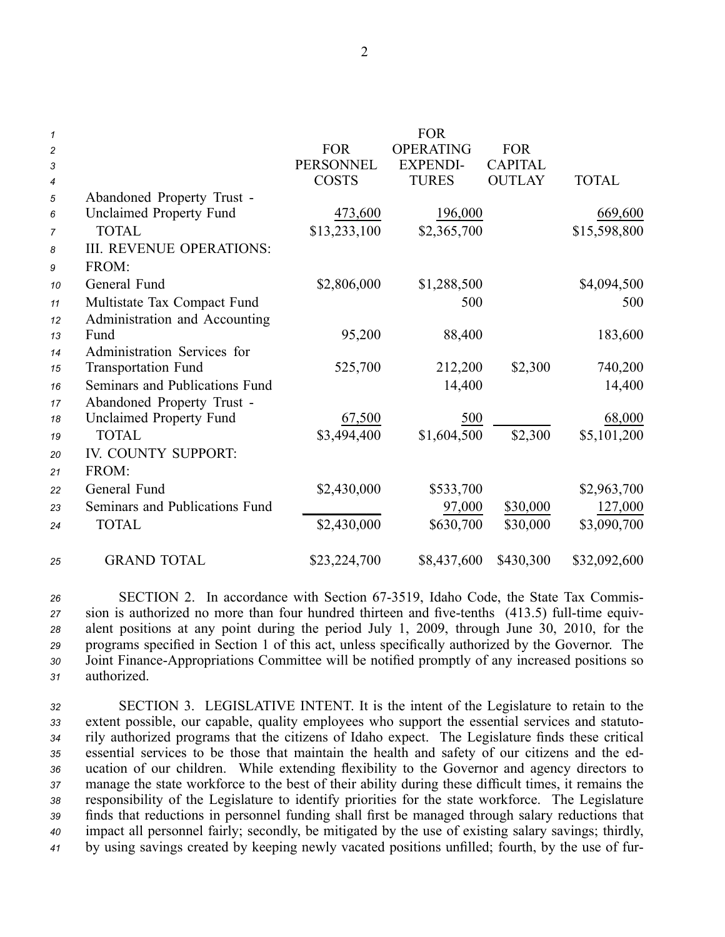| $\mathbf{1}$     |                                 |                  | <b>FOR</b>       |                |              |
|------------------|---------------------------------|------------------|------------------|----------------|--------------|
| $\overline{c}$   |                                 | <b>FOR</b>       | <b>OPERATING</b> | <b>FOR</b>     |              |
| 3                |                                 | <b>PERSONNEL</b> | <b>EXPENDI-</b>  | <b>CAPITAL</b> |              |
| $\boldsymbol{4}$ |                                 | <b>COSTS</b>     | <b>TURES</b>     | <b>OUTLAY</b>  | <b>TOTAL</b> |
| 5                | Abandoned Property Trust -      |                  |                  |                |              |
| 6                | <b>Unclaimed Property Fund</b>  | 473,600          | 196,000          |                | 669,600      |
| $\overline{7}$   | <b>TOTAL</b>                    | \$13,233,100     | \$2,365,700      |                | \$15,598,800 |
| 8                | <b>III. REVENUE OPERATIONS:</b> |                  |                  |                |              |
| 9                | FROM:                           |                  |                  |                |              |
| 10               | General Fund                    | \$2,806,000      | \$1,288,500      |                | \$4,094,500  |
| 11               | Multistate Tax Compact Fund     |                  | 500              |                | 500          |
| 12               | Administration and Accounting   |                  |                  |                |              |
| 13               | Fund                            | 95,200           | 88,400           |                | 183,600      |
| 14               | Administration Services for     |                  |                  |                |              |
| 15               | <b>Transportation Fund</b>      | 525,700          | 212,200          | \$2,300        | 740,200      |
| 16               | Seminars and Publications Fund  |                  | 14,400           |                | 14,400       |
| 17               | Abandoned Property Trust -      |                  |                  |                |              |
| 18               | <b>Unclaimed Property Fund</b>  | 67,500           | 500              |                | 68,000       |
| 19               | <b>TOTAL</b>                    | \$3,494,400      | \$1,604,500      | \$2,300        | \$5,101,200  |
| 20               | IV. COUNTY SUPPORT:             |                  |                  |                |              |
| 21               | FROM:                           |                  |                  |                |              |
| 22               | General Fund                    | \$2,430,000      | \$533,700        |                | \$2,963,700  |
| 23               | Seminars and Publications Fund  |                  | 97,000           | \$30,000       | 127,000      |
| 24               | <b>TOTAL</b>                    | \$2,430,000      | \$630,700        | \$30,000       | \$3,090,700  |
| 25               | <b>GRAND TOTAL</b>              | \$23,224,700     | \$8,437,600      | \$430,300      | \$32,092,600 |

 SECTION 2. In accordance with Section 673519, Idaho Code, the State Tax Commis- sion is authorized no more than four hundred thirteen and five-tenths (413.5) full-time equiv- alent positions at any point during the period July 1, 2009, through June 30, 2010, for the programs specified in Section 1 of this act, unless specifically authorized by the Governor. The 30 Joint Finance-Appropriations Committee will be notified promptly of any increased positions so authorized.

 SECTION 3. LEGISLATIVE INTENT. It is the intent of the Legislature to retain to the extent possible, our capable, quality employees who suppor<sup>t</sup> the essential services and statuto- rily authorized programs that the citizens of Idaho expect. The Legislature finds these critical essential services to be those that maintain the health and safety of our citizens and the ed- ucation of our children. While extending flexibility to the Governor and agency directors to manage the state workforce to the best of their ability during these difficult times, it remains the responsibility of the Legislature to identify priorities for the state workforce. The Legislature finds that reductions in personnel funding shall first be managed through salary reductions that impact all personnel fairly; secondly, be mitigated by the use of existing salary savings; thirdly, by using savings created by keeping newly vacated positions unfilled; fourth, by the use of fur

2